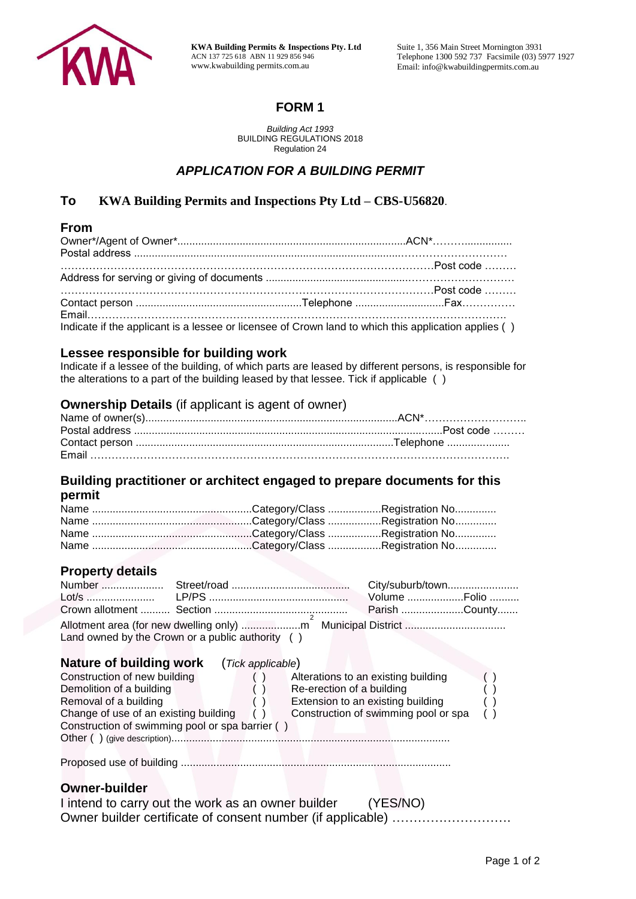

**KWA Building Permits & Inspections Pty. Ltd** ACN 137 725 618 ABN 11 929 856 946 www.kwabuilding permits.com.au

Suite 1, 356 Main Street Mornington 3931 Telephone 1300 592 737 Facsimile (03) 5977 1927 Email: info@kwabuildingpermits.com.au

## **FORM 1**

*Building Act 1993*  BUILDING REGULATIONS 2018 Regulation 24

## *APPLICATION FOR A BUILDING PERMIT*

### **To KWA Building Permits and Inspections Pty Ltd – CBS-U56820**.

#### **From**

| Indicate if the applicant is a lessee or licensee of Crown land to which this application applies () |  |
|------------------------------------------------------------------------------------------------------|--|

# **Lessee responsible for building work**

Indicate if a lessee of the building, of which parts are leased by different persons, is responsible for the alterations to a part of the building leased by that lessee. Tick if applicable ( )

#### **Ownership Details** (if applicant is agent of owner)

## **Building practitioner or architect engaged to prepare documents for this**

**permit**

| <b>Property details</b>                                                                                                                                                                                                        |                |                     |
|--------------------------------------------------------------------------------------------------------------------------------------------------------------------------------------------------------------------------------|----------------|---------------------|
| Number and the set of the set of the set of the set of the set of the set of the set of the set of the set of the set of the set of the set of the set of the set of the set of the set of the set of the set of the set of th | $C$ troot/rood | $C$ itulouhurh/town |

### **Property details**

| Land owned by the Crown or a public authority () |  |  |
|--------------------------------------------------|--|--|

| Nature of building work<br>(Tick applicable)    |                                      |  |
|-------------------------------------------------|--------------------------------------|--|
| Construction of new building                    | Alterations to an existing building  |  |
| Demolition of a building                        | Re-erection of a building            |  |
| Removal of a building                           | Extension to an existing building    |  |
| Change of use of an existing building           | Construction of swimming pool or spa |  |
| Construction of swimming pool or spa barrier () |                                      |  |
| Other () (give description)                     |                                      |  |
|                                                 |                                      |  |

Proposed use of building ...........................................................................................

#### **Owner-builder**

| I intend to carry out the work as an owner builder          | (YES/NO) |  |
|-------------------------------------------------------------|----------|--|
| Owner builder certificate of consent number (if applicable) |          |  |